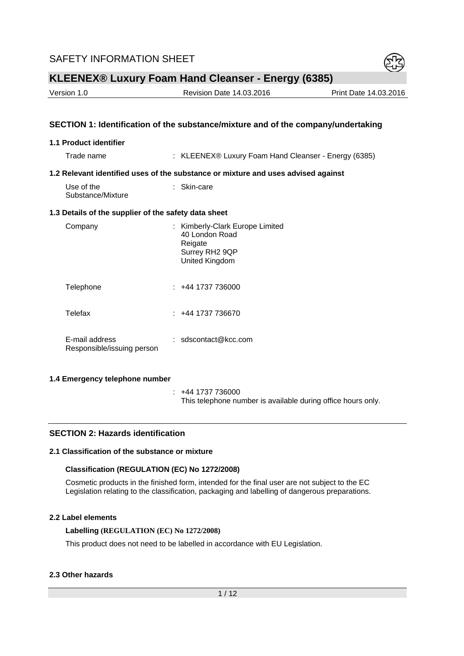

| Version 1.0 | <b>Revision Date 14.03.2016</b> | Print Date 14.03.2016 |
|-------------|---------------------------------|-----------------------|
|             |                                 |                       |

### **SECTION 1: Identification of the substance/mixture and of the company/undertaking**

#### **1.1 Product identifier**

Trade name : KLEENEX® Luxury Foam Hand Cleanser - Energy (6385)

#### **1.2 Relevant identified uses of the substance or mixture and uses advised against**

| Use of the        | $:$ Skin-care |
|-------------------|---------------|
| Substance/Mixture |               |

#### **1.3 Details of the supplier of the safety data sheet**

| Company                                      | : Kimberly-Clark Europe Limited<br>40 London Road<br>Reigate<br>Surrey RH2 9QP<br>United Kingdom |
|----------------------------------------------|--------------------------------------------------------------------------------------------------|
| Telephone                                    | : +44 1737 736000                                                                                |
| Telefax                                      | 144 1737 736670 <del>1</del>                                                                     |
| E-mail address<br>Responsible/issuing person | : sdscontact@kcc.com                                                                             |

### **1.4 Emergency telephone number**

 : +44 1737 736000 This telephone number is available during office hours only.

#### **SECTION 2: Hazards identification**

## **2.1 Classification of the substance or mixture**

#### **Classification (REGULATION (EC) No 1272/2008)**

Cosmetic products in the finished form, intended for the final user are not subject to the EC Legislation relating to the classification, packaging and labelling of dangerous preparations.

### **2.2 Label elements**

#### **Labelling (REGULATION (EC) No 1272/2008)**

This product does not need to be labelled in accordance with EU Legislation.

#### **2.3 Other hazards**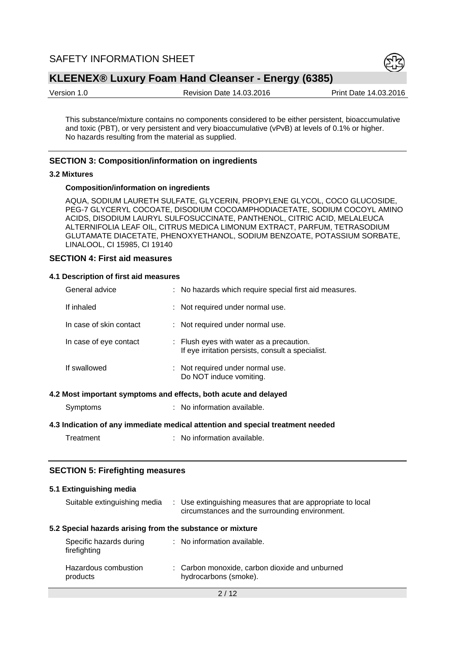

Version 1.0 Revision Date 14.03.2016 Print Date 14.03.2016

This substance/mixture contains no components considered to be either persistent, bioaccumulative and toxic (PBT), or very persistent and very bioaccumulative (vPvB) at levels of 0.1% or higher. No hazards resulting from the material as supplied.

### **SECTION 3: Composition/information on ingredients**

#### **3.2 Mixtures**

#### **Composition/information on ingredients**

AQUA, SODIUM LAURETH SULFATE, GLYCERIN, PROPYLENE GLYCOL, COCO GLUCOSIDE, PEG-7 GLYCERYL COCOATE, DISODIUM COCOAMPHODIACETATE, SODIUM COCOYL AMINO ACIDS, DISODIUM LAURYL SULFOSUCCINATE, PANTHENOL, CITRIC ACID, MELALEUCA ALTERNIFOLIA LEAF OIL, CITRUS MEDICA LIMONUM EXTRACT, PARFUM, TETRASODIUM GLUTAMATE DIACETATE, PHENOXYETHANOL, SODIUM BENZOATE, POTASSIUM SORBATE, LINALOOL, CI 15985, CI 19140

#### **SECTION 4: First aid measures**

#### **4.1 Description of first aid measures**

| General advice          | : No hazards which require special first aid measures.                                        |
|-------------------------|-----------------------------------------------------------------------------------------------|
| If inhaled              | : Not required under normal use.                                                              |
| In case of skin contact | : Not required under normal use.                                                              |
| In case of eye contact  | : Flush eyes with water as a precaution.<br>If eye irritation persists, consult a specialist. |
| If swallowed            | : Not required under normal use.<br>Do NOT induce vomiting.                                   |
|                         | 4.2 Most important symptoms and effects, both acute and delayed                               |
| Symptoms                | : No information available.                                                                   |
|                         | 4.3 Indication of any immediate medical attention and special treatment needed                |

Treatment : No information available.

#### **SECTION 5: Firefighting measures**

| 5.1 Extinguishing media                                   |                                                                                                              |
|-----------------------------------------------------------|--------------------------------------------------------------------------------------------------------------|
| Suitable extinguishing media                              | : Use extinguishing measures that are appropriate to local<br>circumstances and the surrounding environment. |
| 5.2 Special hazards arising from the substance or mixture |                                                                                                              |
| Specific hazards during<br>firefighting                   | : No information available.                                                                                  |
| Hazardous combustion<br>products                          | : Carbon monoxide, carbon dioxide and unburned<br>hydrocarbons (smoke).                                      |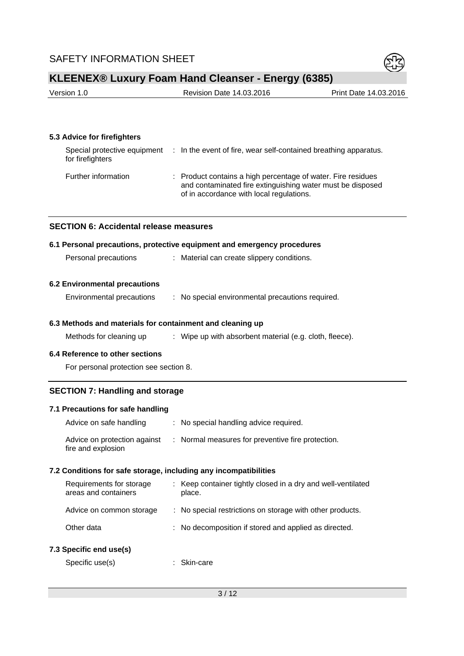

| Version 1.0 | Revision Date 14.03.2016 | Print Date 14.03.2016 |
|-------------|--------------------------|-----------------------|
|             |                          |                       |

### **5.3 Advice for firefighters**

| Special protective equipment<br>for firefighters | : In the event of fire, wear self-contained breathing apparatus.                                                                                                       |
|--------------------------------------------------|------------------------------------------------------------------------------------------------------------------------------------------------------------------------|
| Further information                              | : Product contains a high percentage of water. Fire residues<br>and contaminated fire extinguishing water must be disposed<br>of in accordance with local regulations. |

#### **SECTION 6: Accidental release measures**

#### **6.1 Personal precautions, protective equipment and emergency procedures**

| Personal precautions |  | Material can create slippery conditions. |
|----------------------|--|------------------------------------------|
|----------------------|--|------------------------------------------|

#### **6.2 Environmental precautions**

| Environmental precautions |  |  | No special environmental precautions required. |  |  |
|---------------------------|--|--|------------------------------------------------|--|--|
|---------------------------|--|--|------------------------------------------------|--|--|

#### **6.3 Methods and materials for containment and cleaning up**

Methods for cleaning up : Wipe up with absorbent material (e.g. cloth, fleece).

#### **6.4 Reference to other sections**

For personal protection see section 8.

### **SECTION 7: Handling and storage**

#### **7.1 Precautions for safe handling**

| Advice on safe handling                            | : No special handling advice required.            |
|----------------------------------------------------|---------------------------------------------------|
| Advice on protection against<br>fire and explosion | : Normal measures for preventive fire protection. |

#### **7.2 Conditions for safe storage, including any incompatibilities**

| Requirements for storage<br>areas and containers | : Keep container tightly closed in a dry and well-ventilated<br>place. |
|--------------------------------------------------|------------------------------------------------------------------------|
| Advice on common storage                         | : No special restrictions on storage with other products.              |
| Other data                                       | : No decomposition if stored and applied as directed.                  |
|                                                  |                                                                        |

## **7.3 Specific end use(s)**

Specific use(s) : Skin-care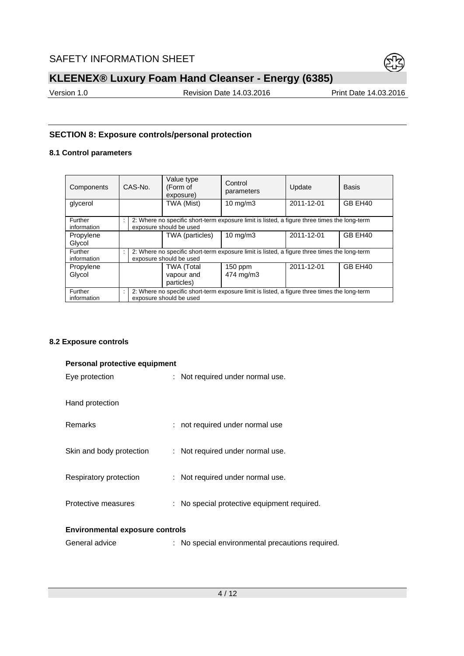

Version 1.0 **Revision Date 14.03.2016** Print Date 14.03.2016

# **SECTION 8: Exposure controls/personal protection**

# **8.1 Control parameters**

| Components             | CAS-No.                                                                                                                            |  | Value type<br>(Form of<br>exposure)                                                                                     | Control<br>parameters  | Update     | <b>Basis</b>        |  |  |  |
|------------------------|------------------------------------------------------------------------------------------------------------------------------------|--|-------------------------------------------------------------------------------------------------------------------------|------------------------|------------|---------------------|--|--|--|
| glycerol               |                                                                                                                                    |  | TWA (Mist)                                                                                                              | $10 \text{ mg/m}$      | 2011-12-01 | GB EH40             |  |  |  |
| Further<br>information | 2: Where no specific short-term exposure limit is listed, a figure three times the long-term<br>$\cdot$<br>exposure should be used |  |                                                                                                                         |                        |            |                     |  |  |  |
| Propylene<br>Glycol    |                                                                                                                                    |  | TWA (particles)                                                                                                         | $10 \text{ mg/m}$      | 2011-12-01 | GB EH40             |  |  |  |
| Further<br>information |                                                                                                                                    |  | 2: Where no specific short-term exposure limit is listed, a figure three times the long-term<br>exposure should be used |                        |            |                     |  |  |  |
| Propylene<br>Glycol    |                                                                                                                                    |  | <b>TWA (Total</b><br>vapour and<br>particles)                                                                           | $150$ ppm<br>474 mg/m3 | 2011-12-01 | GB EH <sub>40</sub> |  |  |  |
| Further<br>information | 2: Where no specific short-term exposure limit is listed, a figure three times the long-term<br>÷<br>exposure should be used       |  |                                                                                                                         |                        |            |                     |  |  |  |

### **8.2 Exposure controls**

| Personal protective equipment          |                                                  |  |  |  |  |  |
|----------------------------------------|--------------------------------------------------|--|--|--|--|--|
| Eye protection                         | : Not required under normal use.                 |  |  |  |  |  |
|                                        |                                                  |  |  |  |  |  |
| Hand protection                        |                                                  |  |  |  |  |  |
| <b>Remarks</b>                         | : not required under normal use                  |  |  |  |  |  |
|                                        |                                                  |  |  |  |  |  |
| Skin and body protection               | : Not required under normal use.                 |  |  |  |  |  |
|                                        |                                                  |  |  |  |  |  |
| Respiratory protection                 | : Not required under normal use.                 |  |  |  |  |  |
| Protective measures                    | : No special protective equipment required.      |  |  |  |  |  |
|                                        |                                                  |  |  |  |  |  |
| <b>Environmental exposure controls</b> |                                                  |  |  |  |  |  |
| General advice                         | : No special environmental precautions required. |  |  |  |  |  |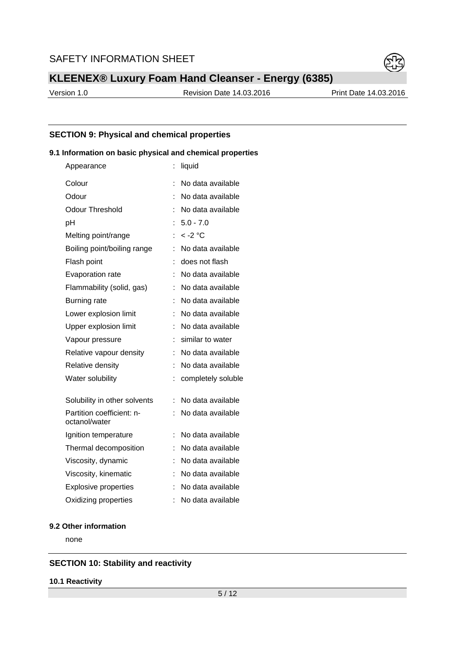

Version 1.0 Revision Date 14.03.2016 Print Date 14.03.2016

### **SECTION 9: Physical and chemical properties**

### **9.1 Information on basic physical and chemical properties**

| Appearance                                 |    | liquid             |
|--------------------------------------------|----|--------------------|
| Colour                                     | t  | No data available  |
| Odour                                      |    | No data available  |
| Odour Threshold                            |    | No data available  |
| pH                                         |    | $5.0 - 7.0$        |
| Melting point/range                        |    | $< -2$ °C          |
| Boiling point/boiling range                |    | No data available  |
| Flash point                                |    | does not flash     |
| Evaporation rate                           |    | No data available  |
| Flammability (solid, gas)                  | ÷  | No data available  |
| <b>Burning rate</b>                        |    | No data available  |
| Lower explosion limit                      |    | No data available  |
| Upper explosion limit                      | t  | No data available  |
| Vapour pressure                            |    | similar to water   |
| Relative vapour density                    | t. | No data available  |
| Relative density                           | t  | No data available  |
| Water solubility                           | İ  | completely soluble |
| Solubility in other solvents               |    | No data available  |
| Partition coefficient: n-<br>octanol/water |    | No data available  |
| Ignition temperature                       | t  | No data available  |
| Thermal decomposition                      | t  | No data available  |
| Viscosity, dynamic                         | t  | No data available  |
| Viscosity, kinematic                       |    | No data available  |
| <b>Explosive properties</b>                |    | No data available  |
| Oxidizing properties                       |    | No data available  |

## **9.2 Other information**

none

### **SECTION 10: Stability and reactivity**

#### **10.1 Reactivity**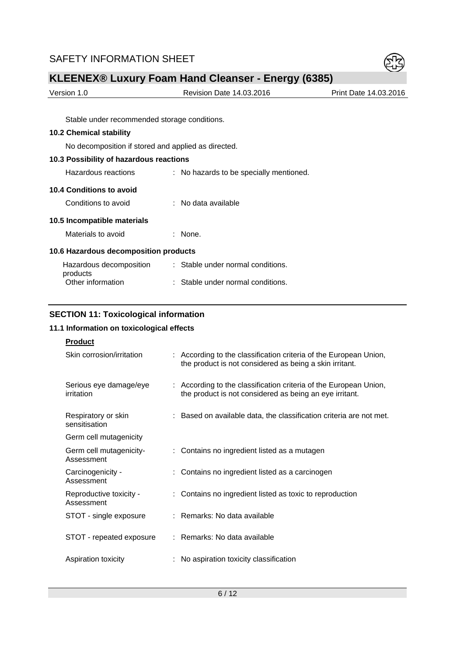

| Version 1.0          | <b>Revision Date 14.03.2016</b> | Print Date 14.03.2016 |  |  |
|----------------------|---------------------------------|-----------------------|--|--|
|                      |                                 |                       |  |  |
| $\sim$ $\sim$ $\sim$ |                                 |                       |  |  |

Stable under recommended storage conditions.

## **10.2 Chemical stability**

No decomposition if stored and applied as directed.

|  |  | 10.3 Possibility of hazardous reactions |  |  |  |
|--|--|-----------------------------------------|--|--|--|
|  |  |                                         |  |  |  |

Hazardous reactions : No hazards to be specially mentioned.

## **10.4 Conditions to avoid**

Conditions to avoid : No data available

| 10.5 Incompatible materials |  |
|-----------------------------|--|
|-----------------------------|--|

|                                       | Materials to avoid |  | $:$ None. |  |  |
|---------------------------------------|--------------------|--|-----------|--|--|
| 10.6 Hazardous decomposition products |                    |  |           |  |  |
|                                       |                    |  |           |  |  |

| Hazardous decomposition | : Stable under normal conditions. |
|-------------------------|-----------------------------------|
| products                |                                   |
| Other information       | : Stable under normal conditions. |

## **SECTION 11: Toxicological information**

# **11.1 Information on toxicological effects**

| <b>Product</b>                        |                                                                                                                              |
|---------------------------------------|------------------------------------------------------------------------------------------------------------------------------|
| Skin corrosion/irritation             | : According to the classification criteria of the European Union,<br>the product is not considered as being a skin irritant. |
| Serious eye damage/eye<br>irritation  | : According to the classification criteria of the European Union,<br>the product is not considered as being an eye irritant. |
| Respiratory or skin<br>sensitisation  | : Based on available data, the classification criteria are not met.                                                          |
| Germ cell mutagenicity                |                                                                                                                              |
| Germ cell mutagenicity-<br>Assessment | : Contains no ingredient listed as a mutagen                                                                                 |
| Carcinogenicity -<br>Assessment       | Contains no ingredient listed as a carcinogen                                                                                |
| Reproductive toxicity -<br>Assessment | : Contains no ingredient listed as toxic to reproduction                                                                     |
| STOT - single exposure                | : Remarks: No data available                                                                                                 |
| STOT - repeated exposure              | : Remarks: No data available                                                                                                 |
| Aspiration toxicity                   | No aspiration toxicity classification                                                                                        |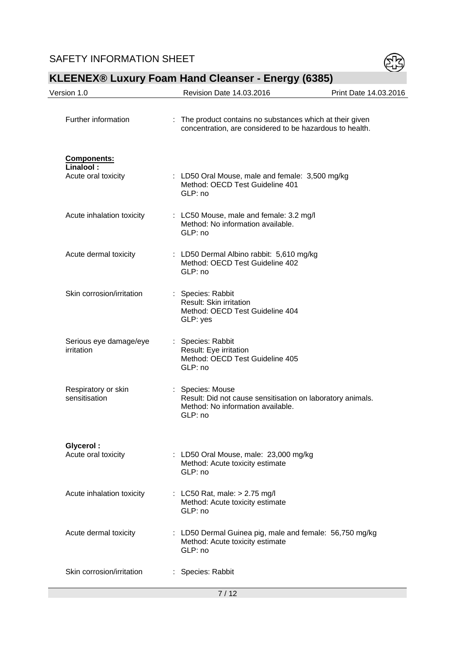

# Version 1.0 **Revision Date 14.03.2016** Print Date 14.03.2016 Further information : The product contains no substances which at their given concentration, are considered to be hazardous to health. **Components: Linalool :**  Acute oral toxicity : LD50 Oral Mouse, male and female: 3,500 mg/kg Method: OECD Test Guideline 401 GLP: no Acute inhalation toxicity : LC50 Mouse, male and female: 3.2 mg/l Method: No information available. GLP: no Acute dermal toxicity : LD50 Dermal Albino rabbit: 5,610 mg/kg Method: OECD Test Guideline 402 GLP: no Skin corrosion/irritation : Species: Rabbit Result: Skin irritation Method: OECD Test Guideline 404 GLP: yes Serious eye damage/eye irritation : Species: Rabbit Result: Eye irritation Method: OECD Test Guideline 405 GLP: no Respiratory or skin sensitisation : Species: Mouse Result: Did not cause sensitisation on laboratory animals. Method: No information available. GLP: no **Glycerol :**  Acute oral toxicity : LD50 Oral Mouse, male: 23,000 mg/kg Method: Acute toxicity estimate GLP: no Acute inhalation toxicity : LC50 Rat, male: > 2.75 mg/l Method: Acute toxicity estimate GLP: no Acute dermal toxicity : LD50 Dermal Guinea pig, male and female: 56,750 mg/kg Method: Acute toxicity estimate GLP: no Skin corrosion/irritation : Species: Rabbit

# **KLEENEX® Luxury Foam Hand Cleanser - Energy (6385)**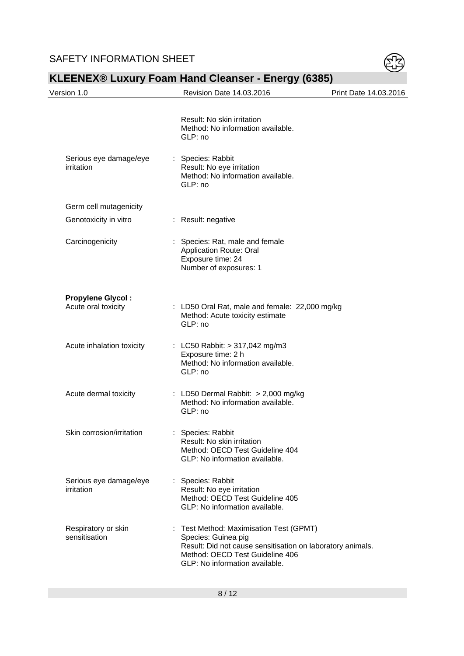

| Version 1.0                                     | Revision Date 14.03.2016                                                                                                                                                                          | Print Date 14.03.2016 |
|-------------------------------------------------|---------------------------------------------------------------------------------------------------------------------------------------------------------------------------------------------------|-----------------------|
|                                                 | Result: No skin irritation<br>Method: No information available.<br>GLP: no                                                                                                                        |                       |
| Serious eye damage/eye<br>irritation            | : Species: Rabbit<br>Result: No eye irritation<br>Method: No information available.<br>GLP: no                                                                                                    |                       |
| Germ cell mutagenicity                          |                                                                                                                                                                                                   |                       |
| Genotoxicity in vitro                           | : Result: negative                                                                                                                                                                                |                       |
| Carcinogenicity                                 | : Species: Rat, male and female<br><b>Application Route: Oral</b><br>Exposure time: 24<br>Number of exposures: 1                                                                                  |                       |
| <b>Propylene Glycol:</b><br>Acute oral toxicity | : LD50 Oral Rat, male and female: 22,000 mg/kg<br>Method: Acute toxicity estimate<br>GLP: no                                                                                                      |                       |
| Acute inhalation toxicity                       | : LC50 Rabbit: > 317,042 mg/m3<br>Exposure time: 2 h<br>Method: No information available.<br>GLP: no                                                                                              |                       |
| Acute dermal toxicity                           | : LD50 Dermal Rabbit: > 2,000 mg/kg<br>Method: No information available.<br>GLP: no                                                                                                               |                       |
| Skin corrosion/irritation                       | Species: Rabbit<br>Result: No skin irritation<br>Method: OECD Test Guideline 404<br>GLP: No information available.                                                                                |                       |
| Serious eye damage/eye<br>irritation            | : Species: Rabbit<br>Result: No eye irritation<br>Method: OECD Test Guideline 405<br>GLP: No information available.                                                                               |                       |
| Respiratory or skin<br>sensitisation            | : Test Method: Maximisation Test (GPMT)<br>Species: Guinea pig<br>Result: Did not cause sensitisation on laboratory animals.<br>Method: OECD Test Guideline 406<br>GLP: No information available. |                       |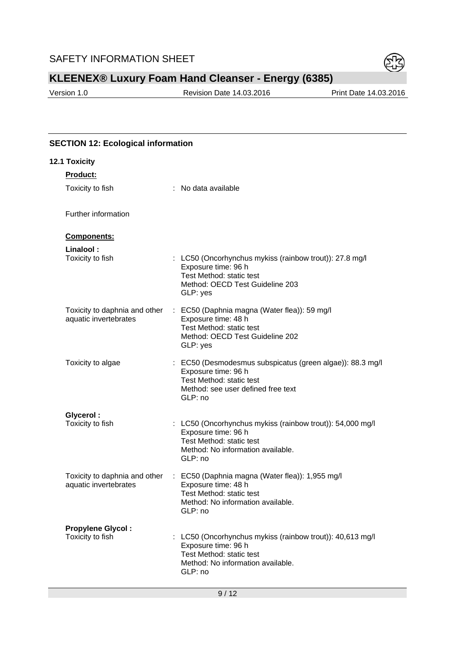

Version 1.0 Revision Date 14.03.2016 Print Date 14.03.2016

# **SECTION 12: Ecological information**

| 12.1 Toxicity                                          |                                                                                                                                                               |
|--------------------------------------------------------|---------------------------------------------------------------------------------------------------------------------------------------------------------------|
| <b>Product:</b>                                        |                                                                                                                                                               |
| Toxicity to fish                                       | : No data available                                                                                                                                           |
| Further information                                    |                                                                                                                                                               |
| Components:                                            |                                                                                                                                                               |
| Linalool:<br>Toxicity to fish                          | : LC50 (Oncorhynchus mykiss (rainbow trout)): 27.8 mg/l<br>Exposure time: 96 h<br>Test Method: static test<br>Method: OECD Test Guideline 203<br>GLP: yes     |
| Toxicity to daphnia and other<br>aquatic invertebrates | : EC50 (Daphnia magna (Water flea)): 59 mg/l<br>Exposure time: 48 h<br>Test Method: static test<br>Method: OECD Test Guideline 202<br>GLP: yes                |
| Toxicity to algae                                      | : EC50 (Desmodesmus subspicatus (green algae)): 88.3 mg/l<br>Exposure time: 96 h<br>Test Method: static test<br>Method: see user defined free text<br>GLP: no |
| Glycerol:<br>Toxicity to fish                          | : LC50 (Oncorhynchus mykiss (rainbow trout)): 54,000 mg/l<br>Exposure time: 96 h<br>Test Method: static test<br>Method: No information available.<br>GLP: no  |
| Toxicity to daphnia and other<br>aquatic invertebrates | : EC50 (Daphnia magna (Water flea)): 1,955 mg/l<br>Exposure time: 48 h<br>Test Method: static test<br>Method: No information available.<br>GLP: no            |
| <b>Propylene Glycol:</b><br>Toxicity to fish           | : LC50 (Oncorhynchus mykiss (rainbow trout)): 40,613 mg/l<br>Exposure time: 96 h<br>Test Method: static test<br>Method: No information available.<br>GLP: no  |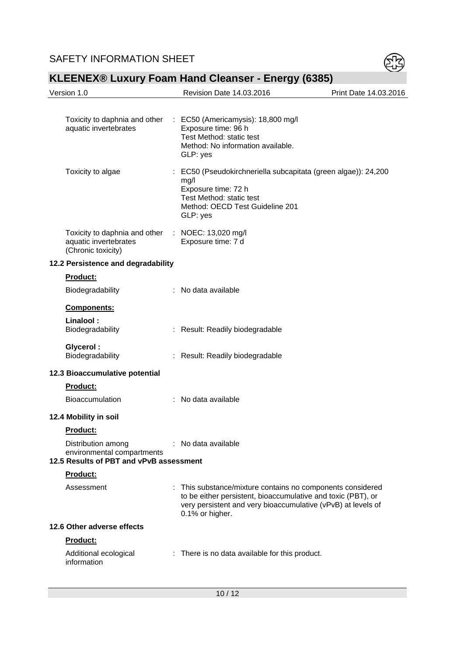

|          | Version 1.0                                                                                 |    | Revision Date 14.03.2016                                                                                                                                                                                      | Print Date 14.03.2016 |
|----------|---------------------------------------------------------------------------------------------|----|---------------------------------------------------------------------------------------------------------------------------------------------------------------------------------------------------------------|-----------------------|
|          | Toxicity to daphnia and other<br>aquatic invertebrates                                      | ÷. | EC50 (Americamysis): 18,800 mg/l<br>Exposure time: 96 h<br>Test Method: static test<br>Method: No information available.<br>GLP: yes                                                                          |                       |
|          | Toxicity to algae                                                                           |    | : EC50 (Pseudokirchneriella subcapitata (green algae)): 24,200<br>mg/l<br>Exposure time: 72 h<br>Test Method: static test<br>Method: OECD Test Guideline 201<br>GLP: yes                                      |                       |
|          | Toxicity to daphnia and other<br>aquatic invertebrates<br>(Chronic toxicity)                |    | : NOEC: 13,020 mg/l<br>Exposure time: 7 d                                                                                                                                                                     |                       |
|          | 12.2 Persistence and degradability                                                          |    |                                                                                                                                                                                                               |                       |
|          | <b>Product:</b>                                                                             |    |                                                                                                                                                                                                               |                       |
|          | Biodegradability                                                                            |    | : No data available                                                                                                                                                                                           |                       |
|          | <b>Components:</b>                                                                          |    |                                                                                                                                                                                                               |                       |
|          | Linalool:<br>Biodegradability                                                               |    | : Result: Readily biodegradable                                                                                                                                                                               |                       |
|          | <b>Glycerol:</b><br>Biodegradability                                                        |    | : Result: Readily biodegradable                                                                                                                                                                               |                       |
|          | 12.3 Bioaccumulative potential                                                              |    |                                                                                                                                                                                                               |                       |
|          | Product:                                                                                    |    |                                                                                                                                                                                                               |                       |
|          | <b>Bioaccumulation</b>                                                                      |    | : No data available                                                                                                                                                                                           |                       |
|          | 12.4 Mobility in soil                                                                       |    |                                                                                                                                                                                                               |                       |
|          | <b>Product:</b>                                                                             |    |                                                                                                                                                                                                               |                       |
|          | Distribution among<br>environmental compartments<br>12.5 Results of PBT and vPvB assessment |    | : No data available                                                                                                                                                                                           |                       |
| Product: |                                                                                             |    |                                                                                                                                                                                                               |                       |
|          | Assessment                                                                                  |    | : This substance/mixture contains no components considered<br>to be either persistent, bioaccumulative and toxic (PBT), or<br>very persistent and very bioaccumulative (vPvB) at levels of<br>0.1% or higher. |                       |
|          | 12.6 Other adverse effects                                                                  |    |                                                                                                                                                                                                               |                       |
|          | Product:                                                                                    |    |                                                                                                                                                                                                               |                       |
|          | Additional ecological<br>information                                                        |    | : There is no data available for this product.                                                                                                                                                                |                       |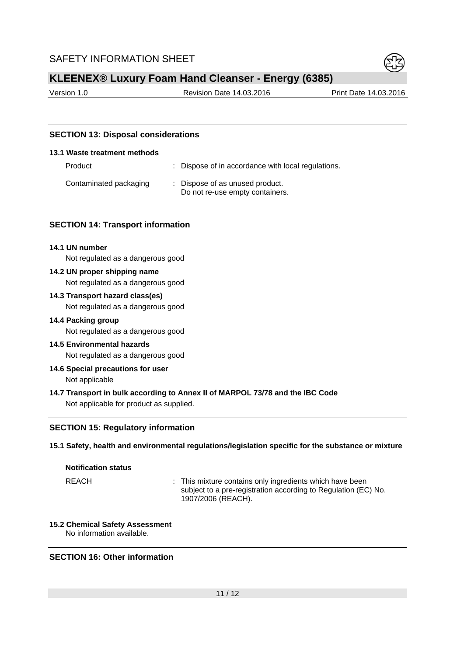

Version 1.0 Revision Date 14.03.2016 Print Date 14.03.2016

## **SECTION 13: Disposal considerations**

#### **13.1 Waste treatment methods**

| Product                | : Dispose of in accordance with local regulations.                 |
|------------------------|--------------------------------------------------------------------|
| Contaminated packaging | : Dispose of as unused product.<br>Do not re-use empty containers. |

#### **SECTION 14: Transport information**

#### **14.1 UN number**

Not regulated as a dangerous good

**14.2 UN proper shipping name** 

Not regulated as a dangerous good

# **14.3 Transport hazard class(es)**

Not regulated as a dangerous good

#### **14.4 Packing group**

Not regulated as a dangerous good

- **14.5 Environmental hazards**  Not regulated as a dangerous good
- **14.6 Special precautions for user**  Not applicable
- **14.7 Transport in bulk according to Annex II of MARPOL 73/78 and the IBC Code**  Not applicable for product as supplied.

#### **SECTION 15: Regulatory information**

#### **15.1 Safety, health and environmental regulations/legislation specific for the substance or mixture**

## **Notification status**

REACH : This mixture contains only ingredients which have been subject to a pre-registration according to Regulation (EC) No. 1907/2006 (REACH).

#### **15.2 Chemical Safety Assessment**  No information available.

#### **SECTION 16: Other information**